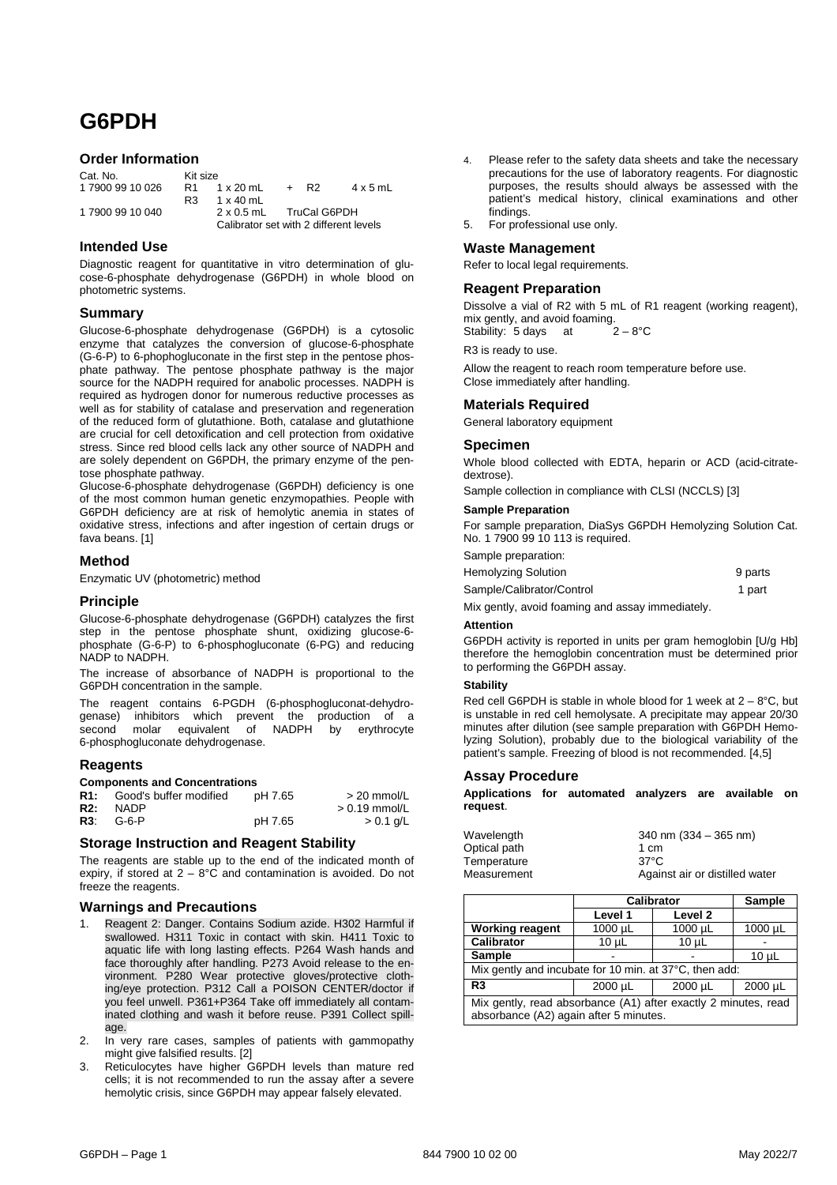# **G6PDH**

# **Order Information**

| Cat. No.         | Kit size       |                                        |      |                 |
|------------------|----------------|----------------------------------------|------|-----------------|
| 1 7900 99 10 026 | R <sub>1</sub> | 1 x 20 mL                              | + R2 | $4 \times 5$ mL |
|                  | R3.            | $1 \times 40$ mL                       |      |                 |
| 1 7900 99 10 040 |                | 2 x 0.5 mL TruCal G6PDH                |      |                 |
|                  |                | Calibrator set with 2 different levels |      |                 |

# **Intended Use**

Diagnostic reagent for quantitative in vitro determination of glucose-6-phosphate dehydrogenase (G6PDH) in whole blood on photometric systems.

# **Summary**

Glucose-6-phosphate dehydrogenase (G6PDH) is a cytosolic enzyme that catalyzes the conversion of glucose-6-phosphate (G-6-P) to 6-phophogluconate in the first step in the pentose phosphate pathway. The pentose phosphate pathway is the major source for the NADPH required for anabolic processes. NADPH is required as hydrogen donor for numerous reductive processes as well as for stability of catalase and preservation and regeneration of the reduced form of glutathione. Both, catalase and glutathione are crucial for cell detoxification and cell protection from oxidative stress. Since red blood cells lack any other source of NADPH and are solely dependent on G6PDH, the primary enzyme of the pentose phosphate pathway.

Glucose-6-phosphate dehydrogenase (G6PDH) deficiency is one of the most common human genetic enzymopathies. People with G6PDH deficiency are at risk of hemolytic anemia in states of oxidative stress, infections and after ingestion of certain drugs or fava beans. [1]

## **Method**

Enzymatic UV (photometric) method

# **Principle**

Glucose-6-phosphate dehydrogenase (G6PDH) catalyzes the first step in the pentose phosphate shunt, oxidizing glucose-6 phosphate (G-6-P) to 6-phosphogluconate (6-PG) and reducing NADP to NADPH.

The increase of absorbance of NADPH is proportional to the G6PDH concentration in the sample.

The reagent contains 6-PGDH (6-phosphogluconat-dehydrogenase) inhibitors which prevent the production of a second molar equivalent of NADPH by erythrocyte 6-phosphogluconate dehydrogenase.

## **Reagents**

# **Components and Concentrations**

|     | <b>R1:</b> Good's buffer modified | pH 7.65 | $>$ 20 mmol/L   |
|-----|-----------------------------------|---------|-----------------|
| R2: | NADP                              |         | $> 0.19$ mmol/L |
|     | <b>R3:</b> G-6-P                  | pH 7.65 | $> 0.1$ g/L     |

## **Storage Instruction and Reagent Stability**

The reagents are stable up to the end of the indicated month of expiry, if stored at  $2 - 8^{\circ}$ C and contamination is avoided. Do not freeze the reagents.

## **Warnings and Precautions**

- 1. Reagent 2: Danger. Contains Sodium azide. H302 Harmful if swallowed. H311 Toxic in contact with skin. H411 Toxic to aquatic life with long lasting effects. P264 Wash hands and face thoroughly after handling. P273 Avoid release to the environment. P280 Wear protective gloves/protective clothing/eye protection. P312 Call a POISON CENTER/doctor if you feel unwell. P361+P364 Take off immediately all contaminated clothing and wash it before reuse. P391 Collect spillage.
- 2. In very rare cases, samples of patients with gammopathy might give falsified results. [2]
- 3. Reticulocytes have higher G6PDH levels than mature red cells; it is not recommended to run the assay after a severe hemolytic crisis, since G6PDH may appear falsely elevated.
- 4. Please refer to the safety data sheets and take the necessary precautions for the use of laboratory reagents. For diagnostic purposes, the results should always be assessed with the patient's medical history, clinical examinations and other findings.
- For professional use only.

## **Waste Management**

Refer to local legal requirements.

# **Reagent Preparation**

Dissolve a vial of R2 with 5 mL of R1 reagent (working reagent), mix gently, and avoid foaming.<br>Stability: 5 days at  $2 - 8^\circ \text{C}$ Stability: 5 days at

R3 is ready to use.

Allow the reagent to reach room temperature before use. Close immediately after handling.

# **Materials Required**

General laboratory equipment

## **Specimen**

Whole blood collected with EDTA, heparin or ACD (acid-citratedextrose).

Sample collection in compliance with CLSI (NCCLS) [3]

#### **Sample Preparation**

For sample preparation, DiaSys G6PDH Hemolyzing Solution Cat. No. 1 7900 99 10 113 is required.

Sample preparation:

| <b>Hemolyzing Solution</b> | 9 parts |
|----------------------------|---------|
| Sample/Calibrator/Control  | 1 part  |

Mix gently, avoid foaming and assay immediately.

## **Attention**

G6PDH activity is reported in units per gram hemoglobin [U/g Hb] therefore the hemoglobin concentration must be determined prior to performing the G6PDH assay.

## **Stability**

Red cell G6PDH is stable in whole blood for 1 week at  $2 - 8$ °C, but is unstable in red cell hemolysate. A precipitate may appear 20/30 minutes after dilution (see sample preparation with G6PDH Hemolyzing Solution), probably due to the biological variability of the patient's sample. Freezing of blood is not recommended. [4,5]

# **Assay Procedure**

**Applications for automated analyzers are available on request**.

| Wavelength   | 340 nm $(334 - 365)$ nm)       |
|--------------|--------------------------------|
| Optical path | 1 cm                           |
| Temperature  | $37^{\circ}$ C                 |
| Measurement  | Against air or distilled water |

|                                                                                                          | <b>Calibrator</b><br>Sample   |            |              |
|----------------------------------------------------------------------------------------------------------|-------------------------------|------------|--------------|
|                                                                                                          | Level 1<br>Level <sub>2</sub> |            |              |
| <b>Working reagent</b>                                                                                   | 1000 µL                       | 1000 µL    | $1000 \mu L$ |
| <b>Calibrator</b>                                                                                        | $10 \mu L$                    | $10 \mu L$ |              |
| <b>Sample</b>                                                                                            |                               |            | $10 \mu L$   |
| Mix gently and incubate for 10 min. at 37°C, then add:                                                   |                               |            |              |
| R <sub>3</sub>                                                                                           | $2000 \mu L$                  | 2000 µL    | 2000 µL      |
| Mix gently, read absorbance (A1) after exactly 2 minutes, read<br>absorbance (A2) again after 5 minutes. |                               |            |              |